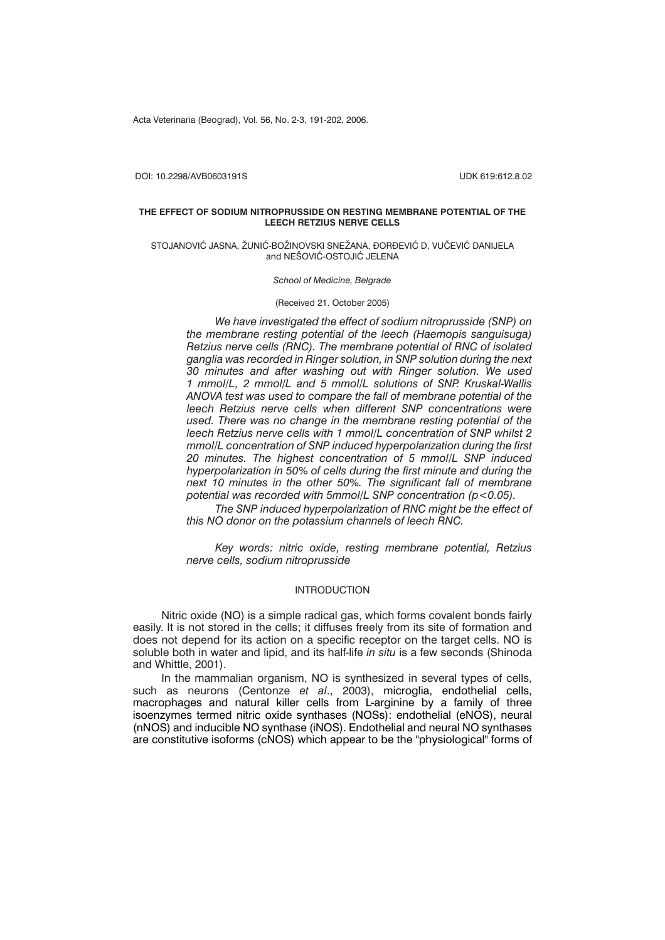Acta Veterinaria (Beograd), Vol. 56, No. 2-3, 191-202, 2006.

DOI: 10.2298/AVB0603191S UDK 619:612.8.02

### **THE EFFECT OF SODIUM NITROPRUSSIDE ON RESTING MEMBRANE POTENTIAL OF THE LEECH RETZIUS NERVE CELLS**

#### STOJANOVIĆ JASNA, ŽUNIĆ-BOŽINOVSKI SNEŽANA, ĐORĐEVIĆ D, VUČEVIĆ DANIJELA and NEŠOVIĆ-OSTOJIĆ JELENA

*School of Medicine, Belgrade*

(Received 21. October 2005)

*We have investigated the effect of sodium nitroprusside (SNP) on the membrane resting potential of the leech (Haemopis sanguisuga) Retzius nerve cells (RNC). The membrane potential of RNC of isolated ganglia was recorded in Ringer solution, in SNP solution during the next 30 minutes and after washing out with Ringer solution. We used 1 mmol/L, 2 mmol/L and 5 mmol/L solutions of SNP. Kruskal-Wallis ANOVA test was used to compare the fall of membrane potential of the leech Retzius nerve cells when different SNP concentrations were used. There was no change in the membrane resting potential of the leech Retzius nerve cells with 1 mmol/L concentration of SNP whilst 2 mmol/L concentration of SNP induced hyperpolarization during the first 20 minutes. The highest concentration of 5 mmol/L SNP induced hyperpolarization in 50% of cells during the first minute and during the next 10 minutes in the other 50%. The significant fall of membrane potential was recorded with 5mmol/L SNP concentration (p<0.05).*

*The SNP induced hyperpolarization of RNC might be the effect of this NO donor on the potassium channels of leech RNC.*

*Key words: nitric oxide, resting membrane potential, Retzius nerve cells, sodium nitroprusside*

# INTRODUCTION

Nitric oxide (NO) is a simple radical gas, which forms covalent bonds fairly easily. It is not stored in the cells; it diffuses freely from its site of formation and does not depend for its action on a specific receptor on the target cells. NO is soluble both in water and lipid, and its half-life *in situ* is a few seconds (Shinoda and Whittle, 2001).

In the mammalian organism, NO is synthesized in several types of cells, such as neurons (Centonze *et al*., 2003), microglia, endothelial cells, macrophages and natural killer cells from L-arginine by a family of three isoenzymes termed nitric oxide synthases (NOSs): endothelial (eNOS), neural (nNOS) and inducible NO synthase (iNOS). Endothelial and neural NO synthases are constitutive isoforms (cNOS) which appear to be the "physiological" forms of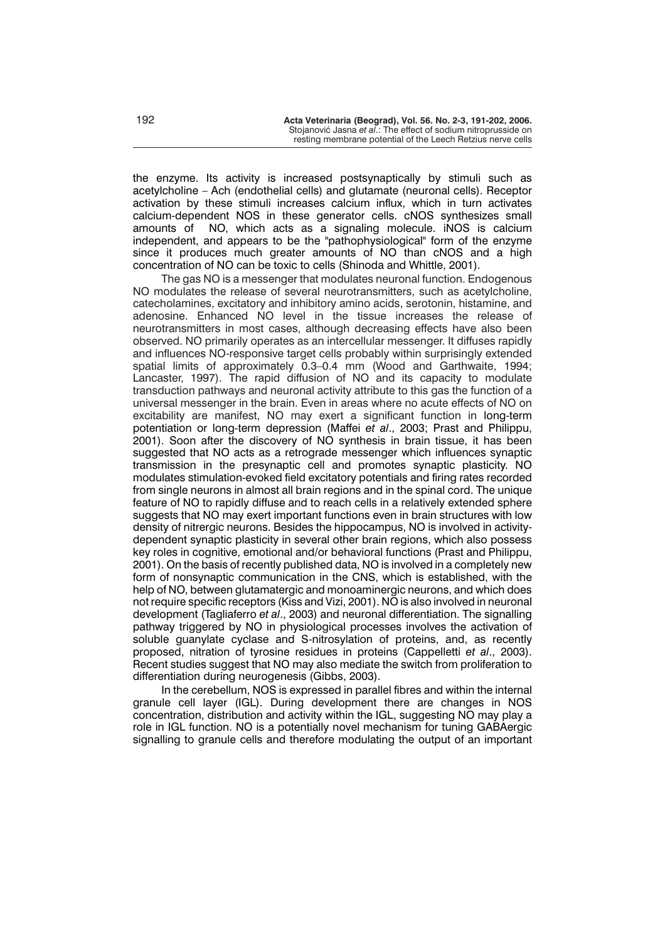the enzyme. Its activity is increased postsynaptically by stimuli such as acetylcholine – Ach (endothelial cells) and glutamate (neuronal cells). Receptor activation by these stimuli increases calcium influx, which in turn activates calcium-dependent NOS in these generator cells. cNOS synthesizes small amounts of NO, which acts as a signaling molecule. iNOS is calcium independent, and appears to be the "pathophysiological" form of the enzyme since it produces much greater amounts of NO than cNOS and a high concentration of NO can be toxic to cells (Shinoda and Whittle, 2001).

The gas NO is a messenger that modulates neuronal function. Endogenous NO modulates the release of several neurotransmitters, such as acetylcholine, catecholamines, excitatory and inhibitory amino acids, serotonin, histamine, and adenosine. Enhanced NO level in the tissue increases the release of neurotransmitters in most cases, although decreasing effects have also been observed. NO primarily operates as an intercellular messenger. It diffuses rapidly and influences NO-responsive target cells probably within surprisingly extended spatial limits of approximately 0.3–0.4 mm (Wood and Garthwaite, 1994; Lancaster, 1997). The rapid diffusion of NO and its capacity to modulate transduction pathways and neuronal activity attribute to this gas the function of a universal messenger in the brain. Even in areas where no acute effects of NO on excitability are manifest, NO may exert a significant function in long-term potentiation or long-term depression (Maffei *et al*., 2003; Prast and Philippu, 2001). Soon after the discovery of NO synthesis in brain tissue, it has been suggested that NO acts as a retrograde messenger which influences synaptic transmission in the presynaptic cell and promotes synaptic plasticity. NO modulates stimulation-evoked field excitatory potentials and firing rates recorded from single neurons in almost all brain regions and in the spinal cord. The unique feature of NO to rapidly diffuse and to reach cells in a relatively extended sphere suggests that NO may exert important functions even in brain structures with low density of nitrergic neurons. Besides the hippocampus, NO is involved in activitydependent synaptic plasticity in several other brain regions, which also possess key roles in cognitive, emotional and/or behavioral functions (Prast and Philippu, 2001). On the basis of recently published data, NO is involved in a completely new form of nonsynaptic communication in the CNS, which is established, with the help of NO, between glutamatergic and monoaminergic neurons, and which does not require specific receptors (Kiss and Vizi, 2001). NO is also involved in neuronal development (Tagliaferro *et al*., 2003) and neuronal differentiation. The signalling pathway triggered by NO in physiological processes involves the activation of soluble guanylate cyclase and S-nitrosylation of proteins, and, as recently proposed, nitration of tyrosine residues in proteins (Cappelletti *et al*., 2003). Recent studies suggest that NO may also mediate the switch from proliferation to differentiation during neurogenesis (Gibbs, 2003).

In the cerebellum, NOS is expressed in parallel fibres and within the internal granule cell layer (IGL). During development there are changes in NOS concentration, distribution and activity within the IGL, suggesting NO may play a role in IGL function. NO is a potentially novel mechanism for tuning GABAergic signalling to granule cells and therefore modulating the output of an important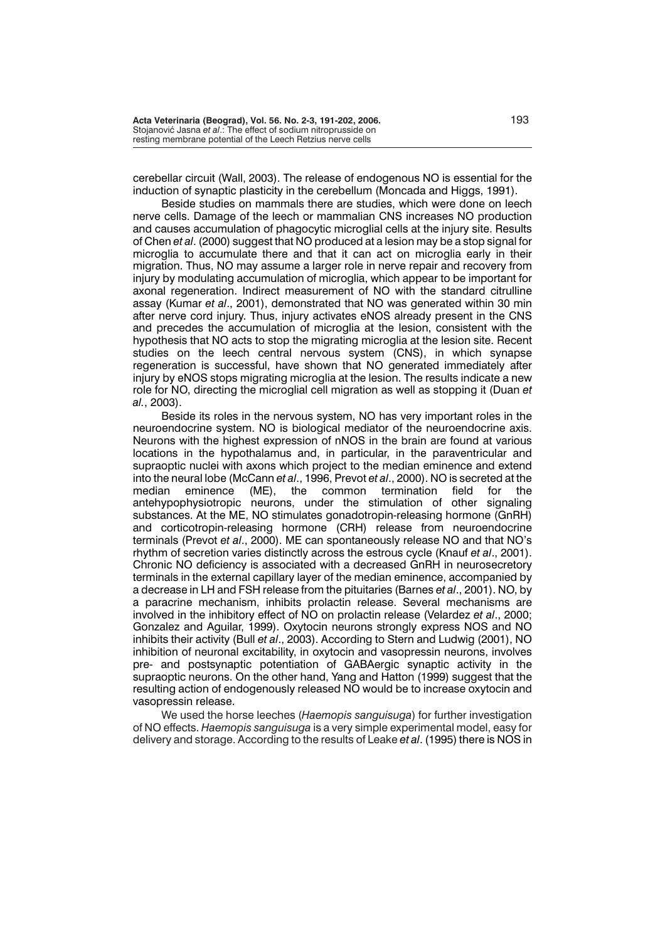cerebellar circuit (Wall, 2003). The release of endogenous NO is essential for the induction of synaptic plasticity in the cerebellum (Moncada and Higgs, 1991).

Beside studies on mammals there are studies, which were done on leech nerve cells. Damage of the leech or mammalian CNS increases NO production and causes accumulation of phagocytic microglial cells at the injury site. Results of Chen *et al*. (2000) suggest that NO produced at a lesion may be a stop signal for microglia to accumulate there and that it can act on microglia early in their migration. Thus, NO may assume a larger role in nerve repair and recovery from injury by modulating accumulation of microglia, which appear to be important for axonal regeneration. Indirect measurement of NO with the standard citrulline assay (Kumar *et al*., 2001), demonstrated that NO was generated within 30 min after nerve cord injury. Thus, injury activates eNOS already present in the CNS and precedes the accumulation of microglia at the lesion, consistent with the hypothesis that NO acts to stop the migrating microglia at the lesion site. Recent studies on the leech central nervous system (CNS), in which synapse regeneration is successful, have shown that NO generated immediately after injury by eNOS stops migrating microglia at the lesion. The results indicate a new role for NO, directing the microglial cell migration as well as stopping it (Duan *et al.*, 2003).

Beside its roles in the nervous system, NO has very important roles in the neuroendocrine system. NO is biological mediator of the neuroendocrine axis. Neurons with the highest expression of nNOS in the brain are found at various locations in the hypothalamus and, in particular, in the paraventricular and supraoptic nuclei with axons which project to the median eminence and extend into the neural lobe (McCann *et al*., 1996, Prevot *et al*., 2000). NO is secreted at the median eminence (ME), the common termination field for the antehypophysiotropic neurons, under the stimulation of other signaling substances. At the ME, NO stimulates gonadotropin-releasing hormone (GnRH) and corticotropin-releasing hormone (CRH) release from neuroendocrine terminals (Prevot *et al*., 2000). ME can spontaneously release NO and that NO's rhythm of secretion varies distinctly across the estrous cycle (Knauf *et al*., 2001). Chronic NO deficiency is associated with a decreased GnRH in neurosecretory terminals in the external capillary layer of the median eminence, accompanied by a decrease in LH and FSH release from the pituitaries (Barnes *et al*., 2001). NO, by a paracrine mechanism, inhibits prolactin release. Several mechanisms are involved in the inhibitory effect of NO on prolactin release (Velardez *et al*., 2000; Gonzalez and Aguilar, 1999). Oxytocin neurons strongly express NOS and NO inhibits their activity (Bull *et al*., 2003). According to Stern and Ludwig (2001), NO inhibition of neuronal excitability, in oxytocin and vasopressin neurons, involves pre- and postsynaptic potentiation of GABAergic synaptic activity in the supraoptic neurons. On the other hand, Yang and Hatton (1999) suggest that the resulting action of endogenously released NO would be to increase oxytocin and vasopressin release.

We used the horse leeches (*Haemopis sanguisuga*) for further investigation of NO effects. *Haemopis sanguisuga* is a very simple experimental model, easy for delivery and storage. According to the results of Leake *et al*. (1995) there is NOS in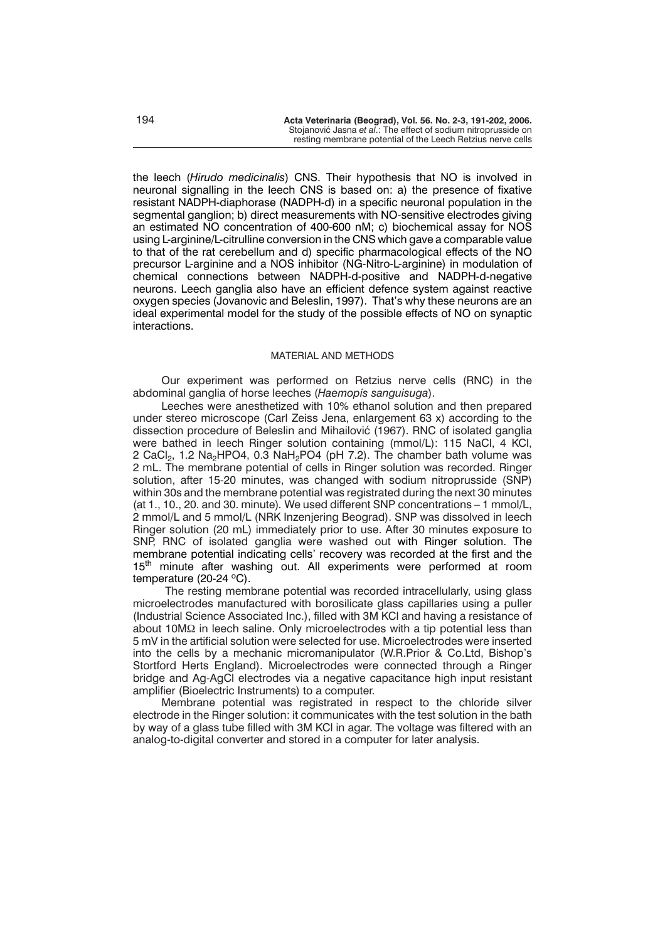the leech (*Hirudo medicinalis*) CNS. Their hypothesis that NO is involved in neuronal signalling in the leech CNS is based on: a) the presence of fixative resistant NADPH-diaphorase (NADPH-d) in a specific neuronal population in the segmental ganglion; b) direct measurements with NO-sensitive electrodes giving an estimated NO concentration of 400-600 nM; c) biochemical assay for NOS using L-arginine/L-citrulline conversion in the CNS which gave a comparable value to that of the rat cerebellum and d) specific pharmacological effects of the NO precursor L-arginine and a NOS inhibitor (NG-Nitro-L-arginine) in modulation of chemical connections between NADPH-d-positive and NADPH-d-negative neurons. Leech ganglia also have an efficient defence system against reactive oxygen species (Jovanovic and Beleslin, 1997). That's why these neurons are an ideal experimental model for the study of the possible effects of NO on synaptic interactions.

## MATERIAL AND METHODS

Our experiment was performed on Retzius nerve cells (RNC) in the abdominal ganglia of horse leeches (*Haemopis sanguisuga*).

Leeches were anesthetized with 10% ethanol solution and then prepared under stereo microscope (Carl Zeiss Jena, enlargement 63 x) according to the dissection procedure of Beleslin and Mihailović (1967). RNC of isolated ganglia were bathed in leech Ringer solution containing (mmol/L): 115 NaCl, 4 KCl, 2 CaCl<sub>2</sub>, 1.2 Na<sub>2</sub>HPO4, 0.3 NaH<sub>2</sub>PO4 (pH 7.2). The chamber bath volume was 2 mL. The membrane potential of cells in Ringer solution was recorded. Ringer solution, after 15-20 minutes, was changed with sodium nitroprusside (SNP) within 30s and the membrane potential was registrated during the next 30 minutes (at 1., 10., 20. and 30. minute)*.* We used different SNP concentrations – 1 mmol/L, 2 mmol/L and 5 mmol/L (NRK Inzenjering Beograd). SNP was dissolved in leech Ringer solution (20 mL) immediately prior to use. After 30 minutes exposure to SNP, RNC of isolated ganglia were washed out with Ringer solution. The membrane potential indicating cells' recovery was recorded at the first and the 15<sup>th</sup> minute after washing out. All experiments were performed at room temperature  $(20-24 \degree C)$ .

The resting membrane potential was recorded intracellularly, using glass microelectrodes manufactured with borosilicate glass capillaries using a puller (Industrial Science Associated Inc.), filled with 3M KCl and having a resistance of about 10 $M\Omega$  in leech saline. Only microelectrodes with a tip potential less than 5 mV in the artificial solution were selected for use. Microelectrodes were inserted into the cells by a mechanic micromanipulator (W.R.Prior & Co.Ltd, Bishop's Stortford Herts England). Microelectrodes were connected through a Ringer bridge and Ag-AgCl electrodes via a negative capacitance high input resistant amplifier (Bioelectric Instruments) to a computer.

Membrane potential was registrated in respect to the chloride silver electrode in the Ringer solution: it communicates with the test solution in the bath by way of a glass tube filled with 3M KCl in agar. The voltage was filtered with an analog-to-digital converter and stored in a computer for later analysis.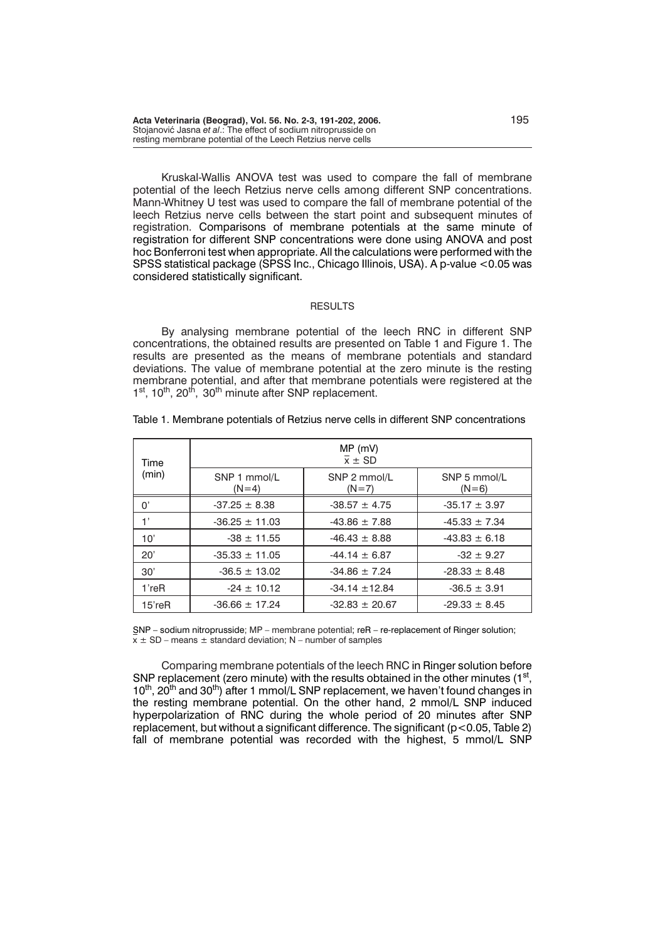**Acta Veterinaria (Beograd), Vol. 56. No. 2-3, 191-202, 2006.** 195 Stojanović Jasna *et al.*: The effect of sodium nitroprusside on resting membrane potential of the Leech Retzius nerve cells

Kruskal-Wallis ANOVA test was used to compare the fall of membrane potential of the leech Retzius nerve cells among different SNP concentrations. Mann-Whitney U test was used to compare the fall of membrane potential of the leech Retzius nerve cells between the start point and subsequent minutes of registration. Comparisons of membrane potentials at the same minute of registration for different SNP concentrations were done using ANOVA and post hoc Bonferroni test when appropriate. All the calculations were performed with the SPSS statistical package (SPSS Inc., Chicago Illinois, USA). A p-value <0.05 was considered statistically significant.

#### **RESULTS**

By analysing membrane potential of the leech RNC in different SNP concentrations, the obtained results are presented on Table 1 and Figure 1. The results are presented as the means of membrane potentials and standard deviations. The value of membrane potential at the zero minute is the resting membrane potential, and after that membrane potentials were registered at the 1st, 10<sup>th</sup>, 20<sup>th</sup>, 30<sup>th</sup> minute after SNP replacement.

| Time<br>(min) | $MP$ (mV)<br>$\overline{x}$ ± SD |                         |                         |  |  |  |
|---------------|----------------------------------|-------------------------|-------------------------|--|--|--|
|               | SNP 1 mmol/L<br>$(N=4)$          | SNP 2 mmol/L<br>$(N=7)$ | SNP 5 mmol/L<br>$(N=6)$ |  |  |  |
| $0^{\prime}$  | $-37.25 \pm 8.38$                | $-38.57 \pm 4.75$       | $-35.17 \pm 3.97$       |  |  |  |
| 1'            | $-36.25 \pm 11.03$               | $-43.86 \pm 7.88$       | $-45.33 \pm 7.34$       |  |  |  |
| 10'           | $-38 \pm 11.55$                  | $-46.43 \pm 8.88$       | $-43.83 \pm 6.18$       |  |  |  |
| 20'           | $-35.33 \pm 11.05$               | $-44.14 \pm 6.87$       | $-32 \pm 9.27$          |  |  |  |
| 30'           | $-36.5 \pm 13.02$                | $-34.86 \pm 7.24$       | $-28.33 \pm 8.48$       |  |  |  |
| $1$ 're $R$   | $-24 \pm 10.12$                  | $-34.14 \pm 12.84$      | $-36.5 \pm 3.91$        |  |  |  |
| $15$ 're $R$  | $-36.66 \pm 17.24$               | $-32.83 \pm 20.67$      | $-29.33 \pm 8.45$       |  |  |  |

### Table 1. Membrane potentials of Retzius nerve cells in different SNP concentrations

SNP – sodium nitroprusside; MP – membrane potential; reR – re-replacement of Ringer solution;  $x \pm SD$  – means  $\pm$  standard deviation; N – number of samples

Comparing membrane potentials of the leech RNC in Ringer solution before SNP replacement (zero minute) with the results obtained in the other minutes (1<sup>st</sup>, 10<sup>th</sup>, 20<sup>th</sup> and 30<sup>th</sup>) after 1 mmol/L SNP replacement, we haven't found changes in the resting membrane potential. On the other hand, 2 mmol/L SNP induced hyperpolarization of RNC during the whole period of 20 minutes after SNP replacement, but without a significant difference. The significant (p<0.05, Table 2) fall of membrane potential was recorded with the highest, 5 mmol/L SNP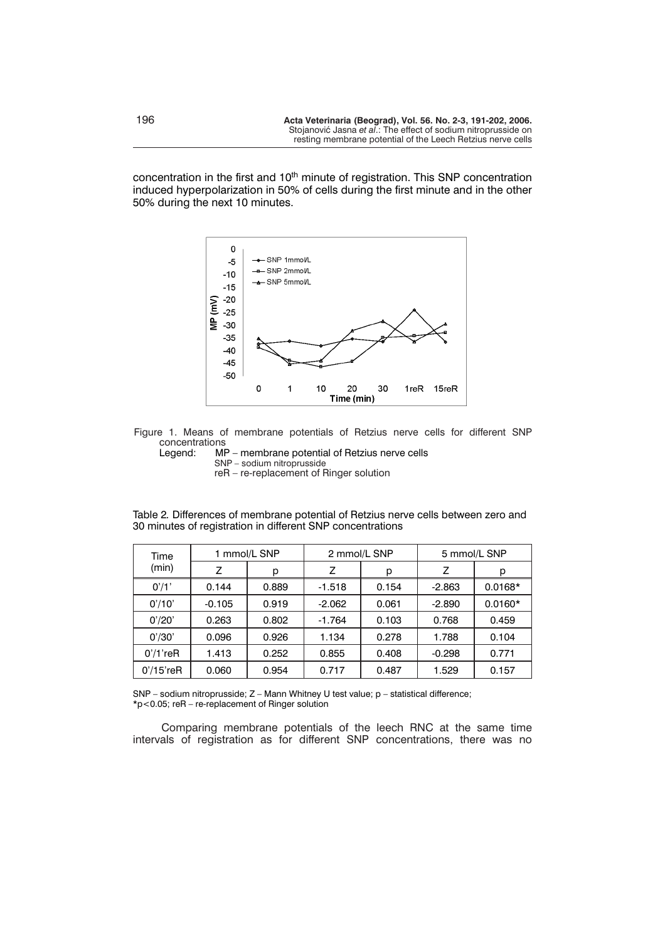concentration in the first and  $10<sup>th</sup>$  minute of registration. This SNP concentration induced hyperpolarization in 50% of cells during the first minute and in the other 50% during the next 10 minutes.





MP – membrane potential of Retzius nerve cells SNP *–* sodium nitroprusside reR – re-replacement of Ringer solution

| Time<br>(min) | 1 mmol/L SNP |       | 2 mmol/L SNP |       | 5 mmol/L SNP |           |
|---------------|--------------|-------|--------------|-------|--------------|-----------|
|               | Z            | р     | Z            | р     | Z            | р         |
| 0'/1'         | 0.144        | 0.889 | $-1.518$     | 0.154 | $-2.863$     | $0.0168*$ |
| 0'/10'        | $-0.105$     | 0.919 | $-2.062$     | 0.061 | $-2.890$     | $0.0160*$ |
| 0'/20'        | 0.263        | 0.802 | $-1.764$     | 0.103 | 0.768        | 0.459     |
| 0'/30'        | 0.096        | 0.926 | 1.134        | 0.278 | 1.788        | 0.104     |
| $0'/1$ 'reR   | 1.413        | 0.252 | 0.855        | 0.408 | $-0.298$     | 0.771     |
| $0'/15$ 'reR  | 0.060        | 0.954 | 0.717        | 0.487 | 1.529        | 0.157     |

Table 2*.* Differences of membrane potential of Retzius nerve cells between zero and 30 minutes of registration in different SNP concentrations

SNP – sodium nitroprusside; Z – Mann Whitney U test value; p – statistical difference; \*p<0.05; reR – re-replacement of Ringer solution

Comparing membrane potentials of the leech RNC at the same time intervals of registration as for different SNP concentrations, there was no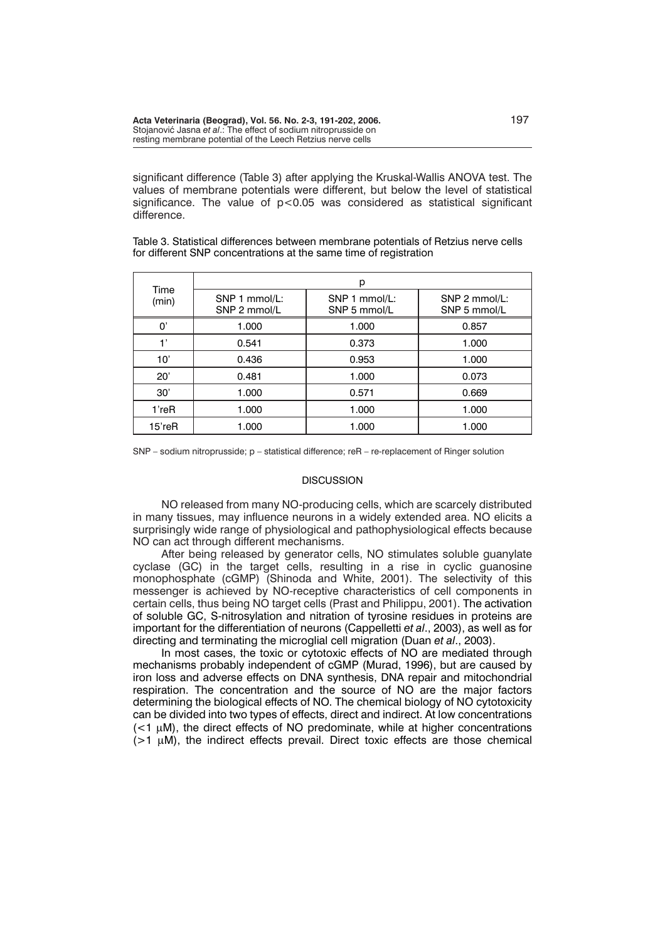significant difference (Table 3) after applying the Kruskal-Wallis ANOVA test. The values of membrane potentials were different, but below the level of statistical significance. The value of  $p < 0.05$  was considered as statistical significant difference.

Table 3. Statistical differences between membrane potentials of Retzius nerve cells for different SNP concentrations at the same time of registration

| Time<br>(min) | р                             |                               |                               |  |  |  |
|---------------|-------------------------------|-------------------------------|-------------------------------|--|--|--|
|               | SNP 1 mmol/L:<br>SNP 2 mmol/L | SNP 1 mmol/L:<br>SNP 5 mmol/L | SNP 2 mmol/L:<br>SNP 5 mmol/L |  |  |  |
| U,            | 1.000                         | 1.000                         | 0.857                         |  |  |  |
|               | 0.541                         | 0.373                         | 1.000                         |  |  |  |
| 10'           | 0.436                         | 0.953                         | 1.000                         |  |  |  |
| 20'           | 0.481                         | 1.000                         | 0.073                         |  |  |  |
| 30'           | 1.000                         | 0.571                         | 0.669                         |  |  |  |
| 1'reR         | 1.000                         | 1.000                         | 1.000                         |  |  |  |
| 15'reR        | 1.000                         | 1.000                         | 1.000                         |  |  |  |

SNP – sodium nitroprusside; p – statistical difference; reR – re-replacement of Ringer solution

### **DISCUSSION**

NO released from many NO-producing cells, which are scarcely distributed in many tissues, may influence neurons in a widely extended area. NO elicits a surprisingly wide range of physiological and pathophysiological effects because NO can act through different mechanisms.

After being released by generator cells, NO stimulates soluble guanylate cyclase (GC) in the target cells, resulting in a rise in cyclic guanosine monophosphate (cGMP) (Shinoda and White, 2001). The selectivity of this messenger is achieved by NO-receptive characteristics of cell components in certain cells, thus being NO target cells (Prast and Philippu, 2001). The activation of soluble GC, S-nitrosylation and nitration of tyrosine residues in proteins are important for the differentiation of neurons (Cappelletti *et al*., 2003), as well as for directing and terminating the microglial cell migration (Duan *et al*., 2003).

In most cases, the toxic or cytotoxic effects of NO are mediated through mechanisms probably independent of cGMP (Murad, 1996), but are caused by iron loss and adverse effects on DNA synthesis, DNA repair and mitochondrial respiration. The concentration and the source of NO are the major factors determining the biological effects of NO. The chemical biology of NO cytotoxicity can be divided into two types of effects, direct and indirect. At low concentrations  $\ll$   $\sim$  1  $\mu$ M), the direct effects of NO predominate, while at higher concentrations  $($ >1  $\mu$ M), the indirect effects prevail. Direct toxic effects are those chemical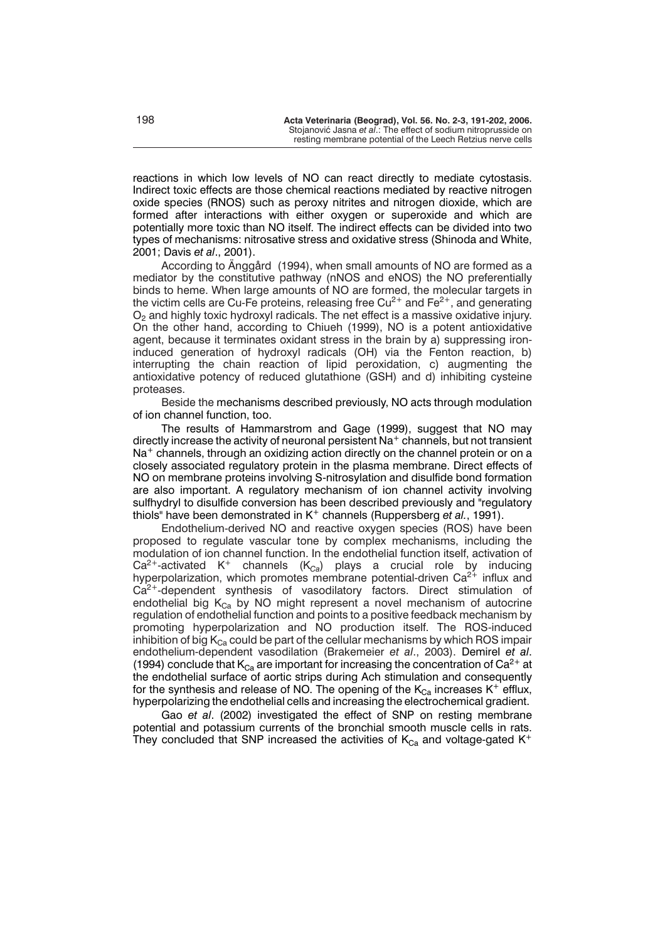reactions in which low levels of NO can react directly to mediate cytostasis. Indirect toxic effects are those chemical reactions mediated by reactive nitrogen oxide species (RNOS) such as peroxy nitrites and nitrogen dioxide, which are formed after interactions with either oxygen or superoxide and which are potentially more toxic than NO itself. The indirect effects can be divided into two types of mechanisms: nitrosative stress and oxidative stress (Shinoda and White, 2001; Davis *et al*., 2001).

According to Änggård (1994), when small amounts of NO are formed as a mediator by the constitutive pathway (nNOS and eNOS) the NO preferentially binds to heme. When large amounts of NO are formed, the molecular targets in the victim cells are Cu-Fe proteins, releasing free  $Cu^{2+}$  and Fe<sup>2+</sup>, and generating  $O<sub>2</sub>$  and highly toxic hydroxyl radicals. The net effect is a massive oxidative injury. On the other hand, according to Chiueh (1999), NO is a potent antioxidative agent, because it terminates oxidant stress in the brain by a) suppressing ironinduced generation of hydroxyl radicals (OH) via the Fenton reaction, b) interrupting the chain reaction of lipid peroxidation, c) augmenting the antioxidative potency of reduced glutathione (GSH) and d) inhibiting cysteine proteases.

Beside the mechanisms described previously, NO acts through modulation of ion channel function, too.

The results of Hammarstrom and Gage (1999), suggest that NO may directly increase the activity of neuronal persistent  $\text{Na}^+$  channels, but not transient  $Na<sup>+</sup>$  channels, through an oxidizing action directly on the channel protein or on a closely associated regulatory protein in the plasma membrane. Direct effects of NO on membrane proteins involving S-nitrosylation and disulfide bond formation are also important. A regulatory mechanism of ion channel activity involving sulfhydryl to disulfide conversion has been described previously and "regulatory thiols" have been demonstrated in K<sup>+</sup> channels (Ruppersberg *et al.*, 1991).

Endothelium-derived NO and reactive oxygen species (ROS) have been proposed to regulate vascular tone by complex mechanisms, including the modulation of ion channel function. In the endothelial function itself, activation of  $Ca^{2+}$ -activated K<sup>+</sup> channels (K<sub>Ca</sub>) plays a crucial role by inducing hyperpolarization, which promotes membrane potential-driven  $Ca^{2+}$  influx and Ca<sup>2+</sup>-dependent synthesis of vasodilatory factors. Direct stimulation of endothelial big  $K_{Ca}$  by NO might represent a novel mechanism of autocrine regulation of endothelial function and points to a positive feedback mechanism by promoting hyperpolarization and NO production itself. The ROS-induced inhibition of big  $K_{Ca}$  could be part of the cellular mechanisms by which ROS impair endothelium-dependent vasodilation (Brakemeier *et al*., 2003). Demirel *et al*. (1994) conclude that  $K_{Ca}$  are important for increasing the concentration of Ca<sup>2+</sup> at the endothelial surface of aortic strips during Ach stimulation and consequently for the synthesis and release of NO. The opening of the  $K_{Ca}$  increases  $K^+$  efflux, hyperpolarizing the endothelial cells and increasing the electrochemical gradient.

Gao *et al*. (2002) investigated the effect of SNP on resting membrane potential and potassium currents of the bronchial smooth muscle cells in rats. They concluded that SNP increased the activities of  $K_{Ca}$  and voltage-gated  $K^+$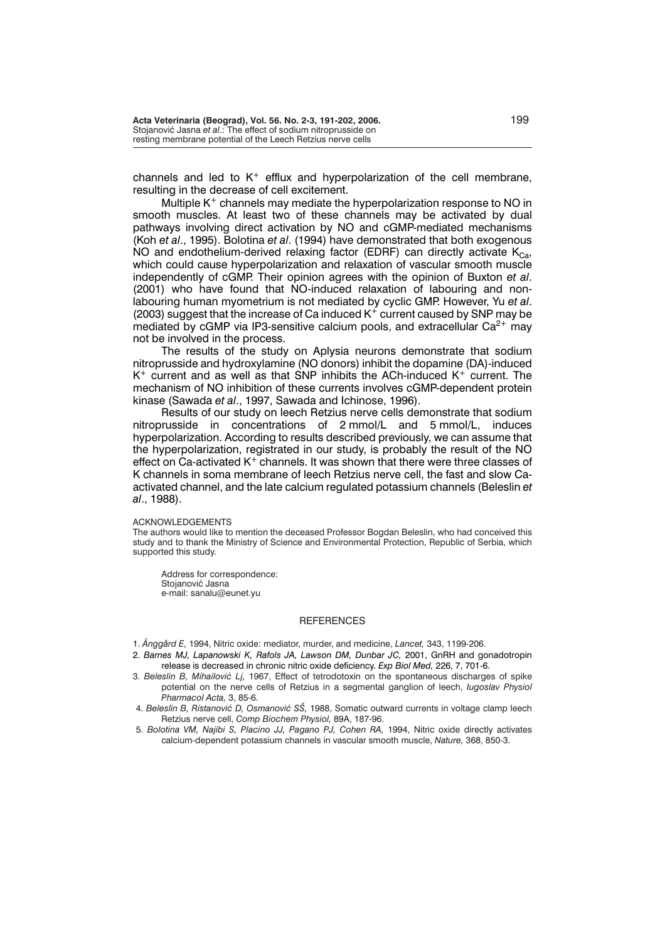channels and led to  $K^+$  efflux and hyperpolarization of the cell membrane, resulting in the decrease of cell excitement.

Multiple  $K^+$  channels may mediate the hyperpolarization response to NO in smooth muscles. At least two of these channels may be activated by dual pathways involving direct activation by NO and cGMP-mediated mechanisms (Koh *et al*., 1995). Bolotina *et al*. (1994) have demonstrated that both exogenous NO and endothelium-derived relaxing factor (EDRF) can directly activate  $K_{Ca}$ , which could cause hyperpolarization and relaxation of vascular smooth muscle independently of cGMP. Their opinion agrees with the opinion of Buxton *et al*. (2001) who have found that NO-induced relaxation of labouring and nonlabouring human myometrium is not mediated by cyclic GMP. However, Yu *et al*. (2003) suggest that the increase of Ca induced  $K^+$  current caused by SNP may be mediated by cGMP via IP3-sensitive calcium pools, and extracellular  $Ca^{2+}$  may not be involved in the process.

The results of the study on Aplysia neurons demonstrate that sodium nitroprusside and hydroxylamine (NO donors) inhibit the dopamine (DA)-induced  $K^+$  current and as well as that SNP inhibits the ACh-induced  $K^+$  current. The mechanism of NO inhibition of these currents involves cGMP-dependent protein kinase (Sawada *et al*., 1997, Sawada and Ichinose, 1996).

Results of our study on leech Retzius nerve cells demonstrate that sodium nitroprusside in concentrations of 2 mmol/L and 5 mmol/L, induces hyperpolarization. According to results described previously, we can assume that the hyperpolarization, registrated in our study, is probably the result of the NO effect on Ca-activated  $K^+$  channels. It was shown that there were three classes of K channels in soma membrane of leech Retzius nerve cell, the fast and slow Caactivated channel, and the late calcium regulated potassium channels (Beleslin *et al*., 1988).

### ACKNOWLEDGEMENTS

The authors would like to mention the deceased Professor Bogdan Beleslin, who had conceived this study and to thank the Ministry of Science and Environmental Protection, Republic of Serbia, which supported this study.

Address for correspondence: Stojanović Jasna e-mail: sanalu@eunet.yu

### **REFERENCES**

- 1. *Änggård E,* 1994, Nitric oxide: mediator, murder, and medicine, *Lancet,* 343, 1199-206.
- 2. *Barnes MJ, Lapanowski K, Rafols JA, Lawson DM, Dunbar JC,* 2001, GnRH and gonadotropin release is decreased in chronic nitric oxide deficiency. *Exp Biol Med,* 226, 7, 701-6.
- 3. Beleslin B, Mihailović Lj, 1967, Effect of tetrodotoxin on the spontaneous discharges of spike potential on the nerve cells of Retzius in a segmental ganglion of leech, *Iugoslav Physiol Pharmacol Acta,* 3, 85-6.
- 4. Beleslin B, Ristanović D, Osmanović SŠ, 1988, Somatic outward currents in voltage clamp leech Retzius nerve cell, *Comp Biochem Physiol,* 89A, 187-96.
- 5. *Bolotina VM, Najibi S, Placino JJ, Pagano PJ, Cohen RA,* 1994, Nitric oxide directly activates calcium-dependent potassium channels in vascular smooth muscle, *Nature,* 368, 850-3.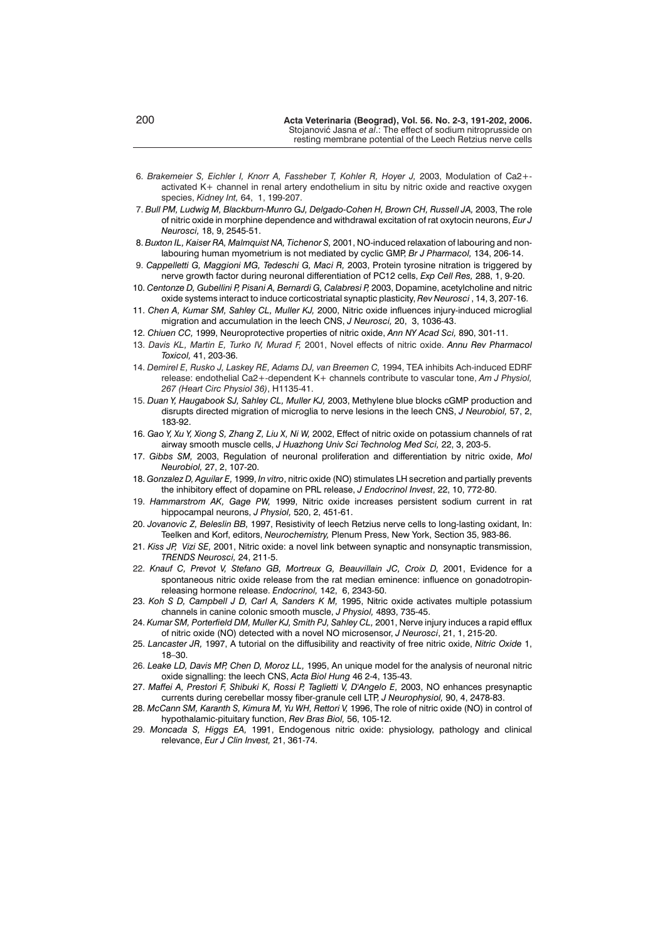- 6. *Brakemeier S, Eichler I, Knorr A, Fassheber T, Kohler R, Hoyer J,* 2003, Modulation of Ca2+ activated K+ channel in renal artery endothelium in situ by nitric oxide and reactive oxygen species, *Kidney Int,* 64, 1, 199-207.
- 7. *Bull PM, Ludwig M, Blackburn-Munro GJ, Delgado-Cohen H, Brown CH, Russell JA,* 2003, The role of nitric oxide in morphine dependence and withdrawal excitation of rat oxytocin neurons, *Eur J Neurosci,* 18, 9, 2545-51.
- 8. *Buxton IL, Kaiser RA, Malmquist NA, Tichenor S,* 2001, NO-induced relaxation of labouring and nonlabouring human myometrium is not mediated by cyclic GMP, *Br J Pharmacol,* 134, 206-14.
- 9. *Cappelletti G, Maggioni MG, Tedeschi G, Maci R,* 2003, Protein tyrosine nitration is triggered by nerve growth factor during neuronal differentiation of PC12 cells, *Exp Cell Res,* 288, 1, 9-20.
- 10. *Centonze D, Gubellini P, Pisani A, Bernardi G, Calabresi P,* 2003, Dopamine, acetylcholine and nitric oxide systems interact to induce corticostriatal synaptic plasticity, *Rev Neurosci* , 14, 3, 207-16.
- 11. *Chen A, Kumar SM, Sahley CL, Muller KJ,* 2000, Nitric oxide influences injury-induced microglial migration and accumulation in the leech CNS, *J Neurosci,* 20, 3, 1036-43.
- 12. *Chiuen CC,* 1999, Neuroprotective properties of nitric oxide, *Ann NY Acad Sci,* 890, 301-11.
- 13. *Davis KL, Martin E, Turko IV, Murad F,* 2001, Novel effects of nitric oxide. *Annu Rev Pharmacol Toxicol,* 41, 203-36.
- 14. *Demirel E, Rusko J, Laskey RE, Adams DJ, van Breemen C,* 1994, TEA inhibits Ach-induced EDRF release: endothelial Ca2+-dependent K+ channels contribute to vascular tone, *Am J Physiol, 267 (Heart Circ Physiol 36)*, H1135-41.
- 15. *Duan Y, Haugabook SJ, Sahley CL, Muller KJ,* 2003, Methylene blue blocks cGMP production and disrupts directed migration of microglia to nerve lesions in the leech CNS, *J Neurobiol,* 57, 2, 183-92.
- 16. *Gao Y, Xu Y, Xiong S, Zhang Z, Liu X, Ni W,* 2002, Effect of nitric oxide on potassium channels of rat airway smooth muscle cells, *J Huazhong Univ Sci Technolog Med Sci,* 22, 3, 203-5.
- 17. *Gibbs SM,* 2003, Regulation of neuronal proliferation and differentiation by nitric oxide, *Mol Neurobiol,* 27, 2, 107-20.
- 18. *Gonzalez D, Aguilar E,* 1999, *In vitro*, nitric oxide (NO) stimulates LH secretion and partially prevents the inhibitory effect of dopamine on PRL release, *J Endocrinol Invest*, 22, 10, 772-80.
- 19. *Hammarstrom AK, Gage PW,* 1999, Nitric oxide increases persistent sodium current in rat hippocampal neurons, *J Physiol,* 520, 2, 451-61.
- 20. *Jovanovic Z, Beleslin BB,* 1997, Resistivity of leech Retzius nerve cells to long-lasting oxidant, In: Teelken and Korf, editors, *Neurochemistry,* Plenum Press, New York, Section 35, 983-86.
- 21. *Kiss JP, Vizi SE,* 2001, Nitric oxide: a novel link between synaptic and nonsynaptic transmission, *TRENDS Neurosci,* 24, 211-5.
- 22. *Knauf C, Prevot V, Stefano GB, Mortreux G, Beauvillain JC, Croix D,* 2001, Evidence for a spontaneous nitric oxide release from the rat median eminence: influence on gonadotropinreleasing hormone release. *Endocrinol,* 142, 6, 2343-50.
- 23. *Koh S D, Campbell J D, Carl A, Sanders K M,* 1995, Nitric oxide activates multiple potassium channels in canine colonic smooth muscle, *J Physiol,* 4893, 735-45.
- 24. *Kumar SM, Porterfield DM, Muller KJ, Smith PJ, Sahley CL,* 2001, Nerve injury induces a rapid efflux of nitric oxide (NO) detected with a novel NO microsensor, *J Neurosci*, 21, 1, 215-20.
- 25. *Lancaster JR,* 1997, A tutorial on the diffusibility and reactivity of free nitric oxide, *Nitric Oxide* 1, 18–30.
- 26. *Leake LD, Davis MP, Chen D, Moroz LL,* 1995, An unique model for the analysis of neuronal nitric oxide signalling: the leech CNS, *Acta Biol Hung* 46 2-4, 135-43.
- 27. *Maffei A, Prestori F, Shibuki K, Rossi P, Taglietti V, D'Angelo E,* 2003, NO enhances presynaptic currents during cerebellar mossy fiber-granule cell LTP, *J Neurophysiol,* 90, 4, 2478-83.
- 28. *McCann SM, Karanth S, Kimura M, Yu WH, Rettori V,* 1996, The role of nitric oxide (NO) in control of hypothalamic-pituitary function, *Rev Bras Biol,* 56, 105-12.
- 29. *Moncada S, Higgs EA,* 1991, Endogenous nitric oxide: physiology, pathology and clinical relevance, *Eur J Clin Invest,* 21, 361-74.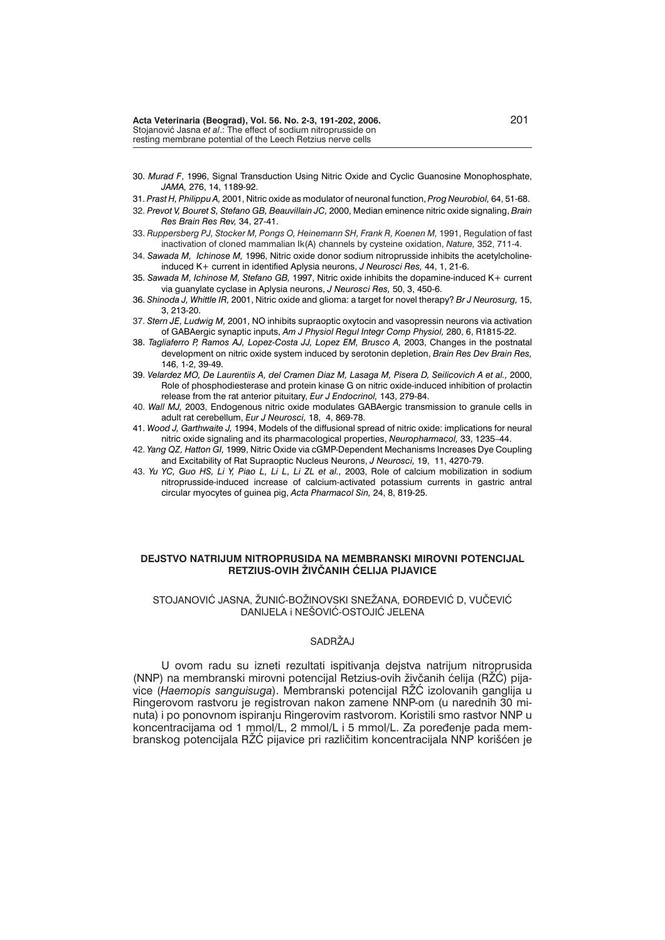- 30. *Murad F*, 1996, Signal Transduction Using Nitric Oxide and Cyclic Guanosine Monophosphate, *JAMA,* 276, 14, 1189-92.
- 31. *Prast H, Philippu A,* 2001, Nitric oxide as modulator of neuronal function, *Prog Neurobiol,* 64, 51-68.
- 32. *Prevot V, Bouret S, Stefano GB, Beauvillain JC,* 2000, Median eminence nitric oxide signaling, *Brain Res Brain Res Rev,* 34, 27-41.
- 33. *Ruppersberg PJ, Stocker M, Pongs O, Heinemann SH, Frank R, Koenen M,* 1991, Regulation of fast inactivation of cloned mammalian Ik(A) channels by cysteine oxidation, *Nature,* 352, 711-4.
- 34. *Sawada M, Ichinose M,* 1996, Nitric oxide donor sodium nitroprusside inhibits the acetylcholineinduced K+ current in identified Aplysia neurons, *J Neurosci Res,* 44, 1, 21-6.
- 35. *Sawada M, Ichinose M, Stefano GB,* 1997, Nitric oxide inhibits the dopamine-induced K+ current via guanylate cyclase in Aplysia neurons, *J Neurosci Res,* 50, 3, 450-6.
- 36. *Shinoda J, Whittle IR,* 2001, Nitric oxide and glioma: a target for novel therapy? *Br J Neurosurg,* 15, 3, 213-20.
- 37. *Stern JE, Ludwig M,* 2001, NO inhibits supraoptic oxytocin and vasopressin neurons via activation of GABAergic synaptic inputs, *Am J Physiol Regul Integr Comp Physiol,* 280, 6, R1815-22.
- 38. *Tagliaferro P, Ramos AJ, Lopez-Costa JJ, Lopez EM, Brusco A,* 2003, Changes in the postnatal development on nitric oxide system induced by serotonin depletion, *Brain Res Dev Brain Res,* 146, 1-2, 39-49.
- 39. *Velardez MO, De Laurentiis A, del Cramen Diaz M, Lasaga M, Pisera D, Seilicovich A et al.,* 2000, Role of phosphodiesterase and protein kinase G on nitric oxide-induced inhibition of prolactin release from the rat anterior pituitary, *Eur J Endocrinol,* 143, 279-84.
- 40. *Wall MJ,* 2003, Endogenous nitric oxide modulates GABAergic transmission to granule cells in adult rat cerebellum, *Eur J Neurosci,* 18, 4, 869-78.
- 41. *Wood J, Garthwaite J,* 1994, Models of the diffusional spread of nitric oxide: implications for neural nitric oxide signaling and its pharmacological properties, *Neuropharmacol,* 33, 1235–44.
- 42. *Yang QZ, Hatton GI,* 1999, Nitric Oxide via cGMP-Dependent Mechanisms Increases Dye Coupling and Excitability of Rat Supraoptic Nucleus Neurons, *J Neurosci,* 19, 11, 4270-79.
- 43. *Yu YC, Guo HS, Li Y, Piao L, Li L, Li ZL et al.,* 2003, Role of calcium mobilization in sodium nitroprusside-induced increase of calcium-activated potassium currents in gastric antral circular myocytes of guinea pig, *Acta Pharmacol Sin,* 24, 8, 819-25.

## **DEJSTVO NATRIJUM NITROPRUSIDA NA MEMBRANSKI MIROVNI POTENCIJAL RETZIUS-OVIH ŽIVČANIH ĆELIJA PIJAVICE**

## STOJANOVIĆ JASNA, ŽUNIĆ-BOŽINOVSKI SNEŽANA, ĐORĐEVIĆ D, VUČEVIĆ DANIJELA I NEŠOVIĆ-OSTOJIĆ JELENA

# SADRŽAJ

U ovom radu su izneti rezultati ispitivanja dejstva natrijum nitroprusida (NNP) na membranski mirovni potencijal Retzius-ovih živčanih ćelija (RŽĆ) pijavice *(Haemopis sanguisuga).* Membranski potencijal RŽĆ izolovanih ganglija u Ringerovom rastvoru je registrovan nakon zamene NNP-om (u narednih 30 minuta) i po ponovnom ispiranju Ringerovim rastvorom. Koristili smo rastvor NNP u koncentracijama od 1 mmol/L, 2 mmol/L i 5 mmol/L. Za poređenje pada membranskog potencijala RŽĆ pijavice pri različitim koncentracijala NNP korišćen je